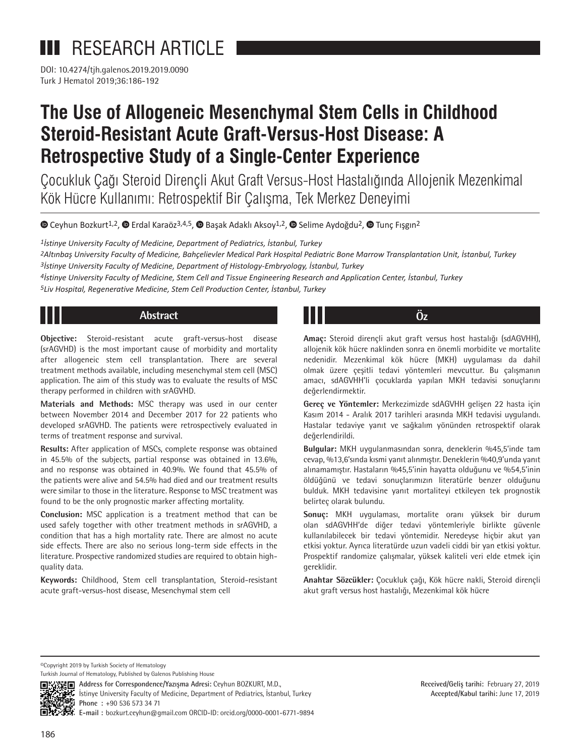# **III** RESEARCH ARTICLE

DOI: 10.4274/tjh.galenos.2019.2019.0090 Turk J Hematol 2019;36:186-192

# **The Use of Allogeneic Mesenchymal Stem Cells in Childhood Steroid-Resistant Acute Graft-Versus-Host Disease: A Retrospective Study of a Single-Center Experience**

Çocukluk Çağı Steroid Dirençli Akut Graft Versus-Host Hastalığında Allojenik Mezenkimal Kök Hücre Kullanımı: Retrospektif Bir Çalışma, Tek Merkez Deneyimi

 $\bullet$ Ceyhun Bozkurt<sup>1,2</sup>,  $\bullet$  Erdal Karaöz<sup>3,4,5</sup>,  $\bullet$  Başak Adaklı Aksoy<sup>1,2</sup>,  $\bullet$  Selime Aydoğdu<sup>2</sup>,  $\bullet$  Tunç Fışgın<sup>2</sup>

*1İstinye University Faculty of Medicine, Department of Pediatrics, İstanbul, Turkey*

*2Altınbaş University Faculty of Medicine, Bahçelievler Medical Park Hospital Pediatric Bone Marrow Transplantation Unit, İstanbul, Turkey 3İstinye University Faculty of Medicine, Department of Histology-Embryology, İstanbul, Turkey*

*4İstinye University Faculty of Medicine, Stem Cell and Tissue Engineering Research and Application Center, İstanbul, Turkey*

*5Liv Hospital, Regenerative Medicine, Stem Cell Production Center, İstanbul, Turkey*

# **Abstract**

**Objective:** Steroid-resistant acute graft-versus-host disease (srAGVHD) is the most important cause of morbidity and mortality after allogeneic stem cell transplantation. There are several treatment methods available, including mesenchymal stem cell (MSC) application. The aim of this study was to evaluate the results of MSC therapy performed in children with srAGVHD.

**Materials and Methods:** MSC therapy was used in our center between November 2014 and December 2017 for 22 patients who developed srAGVHD. The patients were retrospectively evaluated in terms of treatment response and survival.

**Results:** After application of MSCs, complete response was obtained in 45.5% of the subjects, partial response was obtained in 13.6%, and no response was obtained in 40.9%. We found that 45.5% of the patients were alive and 54.5% had died and our treatment results were similar to those in the literature. Response to MSC treatment was found to be the only prognostic marker affecting mortality.

**Conclusion:** MSC application is a treatment method that can be used safely together with other treatment methods in srAGVHD, a condition that has a high mortality rate. There are almost no acute side effects. There are also no serious long-term side effects in the literature. Prospective randomized studies are required to obtain highquality data.

**Keywords:** Childhood, Stem cell transplantation, Steroid-resistant acute graft-versus-host disease, Mesenchymal stem cell

# **Öz**

**Amaç:** Steroid dirençli akut graft versus host hastalığı (sdAGVHH), allojenik kök hücre naklinden sonra en önemli morbidite ve mortalite nedenidir. Mezenkimal kök hücre (MKH) uygulaması da dahil olmak üzere çeşitli tedavi yöntemleri mevcuttur. Bu çalışmanın amacı, sdAGVHH'li çocuklarda yapılan MKH tedavisi sonuçlarını değerlendirmektir.

**Gereç ve Yöntemler:** Merkezimizde sdAGVHH gelişen 22 hasta için Kasım 2014 - Aralık 2017 tarihleri arasında MKH tedavisi uygulandı. Hastalar tedaviye yanıt ve sağkalım yönünden retrospektif olarak değerlendirildi.

**Bulgular:** MKH uygulanmasından sonra, deneklerin %45,5'inde tam cevap, %13,6'sında kısmi yanıt alınmıştır. Deneklerin %40,9'unda yanıt alınamamıştır. Hastaların %45,5'inin hayatta olduğunu ve %54,5'inin öldüğünü ve tedavi sonuçlarımızın literatürle benzer olduğunu bulduk. MKH tedavisine yanıt mortaliteyi etkileyen tek prognostik belirteç olarak bulundu.

**Sonuç:** MKH uygulaması, mortalite oranı yüksek bir durum olan sdAGVHH'de diğer tedavi yöntemleriyle birlikte güvenle kullanılabilecek bir tedavi yöntemidir. Neredeyse hiçbir akut yan etkisi yoktur. Ayrıca literatürde uzun vadeli ciddi bir yan etkisi yoktur. Prospektif randomize çalışmalar, yüksek kaliteli veri elde etmek için gereklidir.

**Anahtar Sözcükler:** Çocukluk çağı, Kök hücre nakli, Steroid dirençli akut graft versus host hastalığı, Mezenkimal kök hücre

©Copyright 2019 by Turkish Society of Hematology Turkish Journal of Hematology, Published by Galenos Publishing House



**Address for Correspondence/Yazışma Adresi:** Ceyhun BOZKURT, M.D., İstinye University Faculty of Medicine, Department of Pediatrics, İstanbul, Turkey **Phone :** +90 536 573 34 71 **E-mail :** bozkurt.ceyhun@gmail.com ORCID-ID: orcid.org/0000-0001-6771-9894

**Received/Geliş tarihi:** February 27, 2019 **Accepted/Kabul tarihi:** June 17, 2019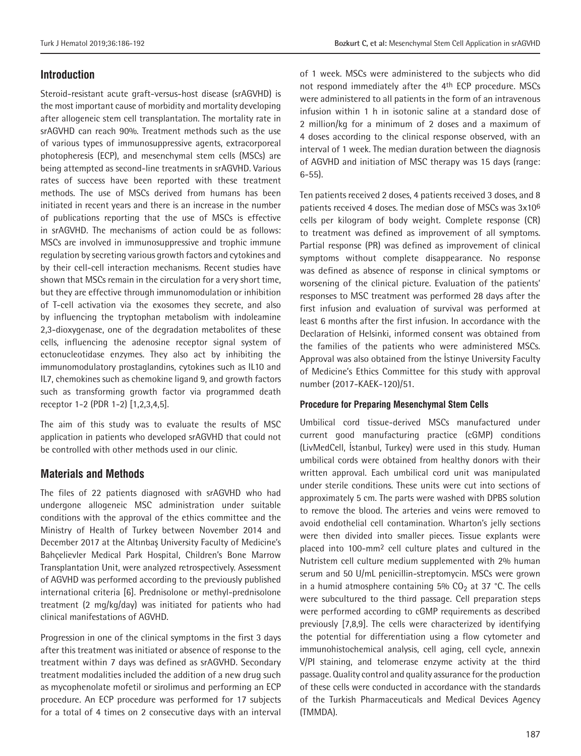# **Introduction**

Steroid-resistant acute graft-versus-host disease (srAGVHD) is the most important cause of morbidity and mortality developing after allogeneic stem cell transplantation. The mortality rate in srAGVHD can reach 90%. Treatment methods such as the use of various types of immunosuppressive agents, extracorporeal photopheresis (ECP), and mesenchymal stem cells (MSCs) are being attempted as second-line treatments in srAGVHD. Various rates of success have been reported with these treatment methods. The use of MSCs derived from humans has been initiated in recent years and there is an increase in the number of publications reporting that the use of MSCs is effective in srAGVHD. The mechanisms of action could be as follows: MSCs are involved in immunosuppressive and trophic immune regulation by secreting various growth factors and cytokines and by their cell-cell interaction mechanisms. Recent studies have shown that MSCs remain in the circulation for a very short time, but they are effective through immunomodulation or inhibition of T-cell activation via the exosomes they secrete, and also by influencing the tryptophan metabolism with indoleamine 2,3-dioxygenase, one of the degradation metabolites of these cells, influencing the adenosine receptor signal system of ectonucleotidase enzymes. They also act by inhibiting the immunomodulatory prostaglandins, cytokines such as IL10 and IL7, chemokines such as chemokine ligand 9, and growth factors such as transforming growth factor via programmed death receptor 1-2 (PDR 1-2) [1,2,3,4,5].

The aim of this study was to evaluate the results of MSC application in patients who developed srAGVHD that could not be controlled with other methods used in our clinic.

## **Materials and Methods**

The files of 22 patients diagnosed with srAGVHD who had undergone allogeneic MSC administration under suitable conditions with the approval of the ethics committee and the Ministry of Health of Turkey between November 2014 and December 2017 at the Altınbaş University Faculty of Medicine's Bahçelievler Medical Park Hospital, Children's Bone Marrow Transplantation Unit, were analyzed retrospectively. Assessment of AGVHD was performed according to the previously published international criteria [6]. Prednisolone or methyl-prednisolone treatment (2 mg/kg/day) was initiated for patients who had clinical manifestations of AGVHD.

Progression in one of the clinical symptoms in the first 3 days after this treatment was initiated or absence of response to the treatment within 7 days was defined as srAGVHD. Secondary treatment modalities included the addition of a new drug such as mycophenolate mofetil or sirolimus and performing an ECP procedure. An ECP procedure was performed for 17 subjects for a total of 4 times on 2 consecutive days with an interval of 1 week. MSCs were administered to the subjects who did not respond immediately after the 4th ECP procedure. MSCs were administered to all patients in the form of an intravenous infusion within 1 h in isotonic saline at a standard dose of 2 million/kg for a minimum of 2 doses and a maximum of 4 doses according to the clinical response observed, with an interval of 1 week. The median duration between the diagnosis of AGVHD and initiation of MSC therapy was 15 days (range: 6-55).

Ten patients received 2 doses, 4 patients received 3 doses, and 8 patients received 4 doses. The median dose of MSCs was 3x10<sup>6</sup> cells per kilogram of body weight. Complete response (CR) to treatment was defined as improvement of all symptoms. Partial response (PR) was defined as improvement of clinical symptoms without complete disappearance. No response was defined as absence of response in clinical symptoms or worsening of the clinical picture. Evaluation of the patients' responses to MSC treatment was performed 28 days after the first infusion and evaluation of survival was performed at least 6 months after the first infusion. In accordance with the Declaration of Helsinki, informed consent was obtained from the families of the patients who were administered MSCs. Approval was also obtained from the İstinye University Faculty of Medicine's Ethics Committee for this study with approval number (2017-KAEK-120)/51.

#### **Procedure for Preparing Mesenchymal Stem Cells**

Umbilical cord tissue-derived MSCs manufactured under current good manufacturing practice (cGMP) conditions (LivMedCell, İstanbul, Turkey) were used in this study. Human umbilical cords were obtained from healthy donors with their written approval. Each umbilical cord unit was manipulated under sterile conditions. These units were cut into sections of approximately 5 cm. The parts were washed with DPBS solution to remove the blood. The arteries and veins were removed to avoid endothelial cell contamination. Wharton's jelly sections were then divided into smaller pieces. Tissue explants were placed into 100-mm2 cell culture plates and cultured in the Nutristem cell culture medium supplemented with 2% human serum and 50 U/mL penicillin-streptomycin. MSCs were grown in a humid atmosphere containing  $5\%$  CO<sub>2</sub> at 37 °C. The cells were subcultured to the third passage. Cell preparation steps were performed according to cGMP requirements as described previously [7,8,9]. The cells were characterized by identifying the potential for differentiation using a flow cytometer and immunohistochemical analysis, cell aging, cell cycle, annexin V/PI staining, and telomerase enzyme activity at the third passage. Quality control and quality assurance for the production of these cells were conducted in accordance with the standards of the Turkish Pharmaceuticals and Medical Devices Agency (TMMDA).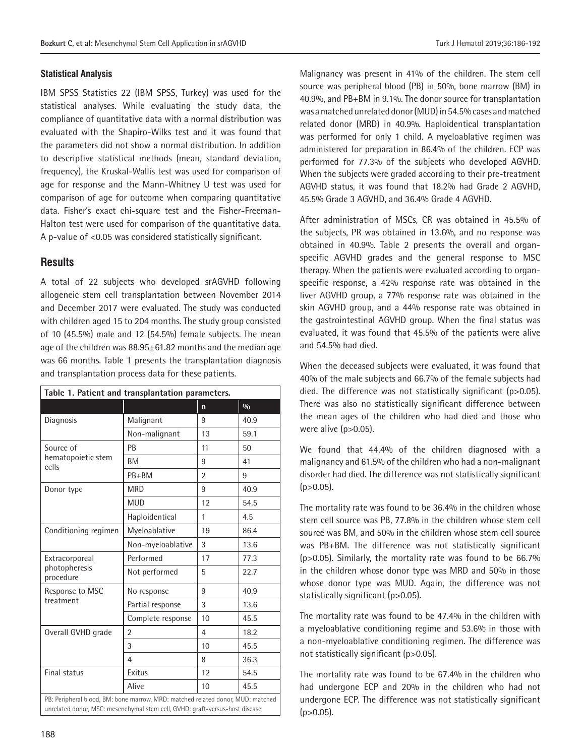#### **Statistical Analysis**

IBM SPSS Statistics 22 (IBM SPSS, Turkey) was used for the statistical analyses. While evaluating the study data, the compliance of quantitative data with a normal distribution was evaluated with the Shapiro-Wilks test and it was found that the parameters did not show a normal distribution. In addition to descriptive statistical methods (mean, standard deviation, frequency), the Kruskal-Wallis test was used for comparison of age for response and the Mann-Whitney U test was used for comparison of age for outcome when comparing quantitative data. Fisher's exact chi-square test and the Fisher-Freeman-Halton test were used for comparison of the quantitative data. A p-value of <0.05 was considered statistically significant.

### **Results**

A total of 22 subjects who developed srAGVHD following allogeneic stem cell transplantation between November 2014 and December 2017 were evaluated. The study was conducted with children aged 15 to 204 months. The study group consisted of 10 (45.5%) male and 12 (54.5%) female subjects. The mean age of the children was 88.95+61.82 months and the median age was 66 months. Table 1 presents the transplantation diagnosis and transplantation process data for these patients.

| Table 1. Patient and transplantation parameters.                                                                                                                 |                   |                |      |  |  |  |
|------------------------------------------------------------------------------------------------------------------------------------------------------------------|-------------------|----------------|------|--|--|--|
|                                                                                                                                                                  |                   | $\mathsf{n}$   | 0/0  |  |  |  |
| Diagnosis                                                                                                                                                        | Malignant         | 9              | 40.9 |  |  |  |
|                                                                                                                                                                  | Non-malignant     | 13             | 59.1 |  |  |  |
| Source of<br>hematopoietic stem<br>cells                                                                                                                         | <b>PB</b>         | 11             | 50   |  |  |  |
|                                                                                                                                                                  | <b>BM</b>         | 9              | 41   |  |  |  |
|                                                                                                                                                                  | PB+BM             | $\overline{2}$ | 9    |  |  |  |
| Donor type                                                                                                                                                       | <b>MRD</b>        | 9              | 40.9 |  |  |  |
|                                                                                                                                                                  | <b>MUD</b>        | 12             | 54.5 |  |  |  |
|                                                                                                                                                                  | Haploidentical    | 1              | 4.5  |  |  |  |
| Conditioning regimen                                                                                                                                             | Myeloablative     | 19             | 86.4 |  |  |  |
|                                                                                                                                                                  | Non-myeloablative | 3              | 13.6 |  |  |  |
| Extracorporeal<br>photopheresis<br>procedure                                                                                                                     | Performed         | 17             | 77.3 |  |  |  |
|                                                                                                                                                                  | Not performed     | 5              | 22.7 |  |  |  |
| Response to MSC<br>treatment                                                                                                                                     | No response       | 9              | 40.9 |  |  |  |
|                                                                                                                                                                  | Partial response  | 3              | 13.6 |  |  |  |
|                                                                                                                                                                  | Complete response | 10             | 45.5 |  |  |  |
| Overall GVHD grade                                                                                                                                               | $\overline{2}$    | $\overline{4}$ | 18.2 |  |  |  |
|                                                                                                                                                                  | 3                 | 10             | 45.5 |  |  |  |
|                                                                                                                                                                  | 4                 | 8              | 36.3 |  |  |  |
| <b>Final status</b>                                                                                                                                              | Exitus            | 12             | 54.5 |  |  |  |
|                                                                                                                                                                  | Alive             | 10             | 45.5 |  |  |  |
| PB: Peripheral blood, BM: bone marrow, MRD: matched related donor, MUD: matched<br>unrelated donor, MSC: mesenchymal stem cell, GVHD: graft-versus-host disease. |                   |                |      |  |  |  |

Malignancy was present in 41% of the children. The stem cell source was peripheral blood (PB) in 50%, bone marrow (BM) in 40.9%, and PB+BM in 9.1%. The donor source for transplantation was a matched unrelated donor (MUD) in 54.5% cases and matched related donor (MRD) in 40.9%. Haploidentical transplantation was performed for only 1 child. A myeloablative regimen was administered for preparation in 86.4% of the children. ECP was performed for 77.3% of the subjects who developed AGVHD. When the subjects were graded according to their pre-treatment AGVHD status, it was found that 18.2% had Grade 2 AGVHD, 45.5% Grade 3 AGVHD, and 36.4% Grade 4 AGVHD.

After administration of MSCs, CR was obtained in 45.5% of the subjects, PR was obtained in 13.6%, and no response was obtained in 40.9%. Table 2 presents the overall and organspecific AGVHD grades and the general response to MSC therapy. When the patients were evaluated according to organspecific response, a 42% response rate was obtained in the liver AGVHD group, a 77% response rate was obtained in the skin AGVHD group, and a 44% response rate was obtained in the gastrointestinal AGVHD group. When the final status was evaluated, it was found that 45.5% of the patients were alive and 54.5% had died.

When the deceased subjects were evaluated, it was found that 40% of the male subjects and 66.7% of the female subjects had died. The difference was not statistically significant (p>0.05). There was also no statistically significant difference between the mean ages of the children who had died and those who were alive (p>0.05).

We found that 44.4% of the children diagnosed with a malignancy and 61.5% of the children who had a non-malignant disorder had died. The difference was not statistically significant  $(p>0.05)$ .

The mortality rate was found to be 36.4% in the children whose stem cell source was PB, 77.8% in the children whose stem cell source was BM, and 50% in the children whose stem cell source was PB+BM. The difference was not statistically significant (p>0.05). Similarly, the mortality rate was found to be 66.7% in the children whose donor type was MRD and 50% in those whose donor type was MUD. Again, the difference was not statistically significant (p>0.05).

The mortality rate was found to be 47.4% in the children with a myeloablative conditioning regime and 53.6% in those with a non-myeloablative conditioning regimen. The difference was not statistically significant (p>0.05).

The mortality rate was found to be 67.4% in the children who had undergone ECP and 20% in the children who had not undergone ECP. The difference was not statistically significant  $(p>0.05)$ .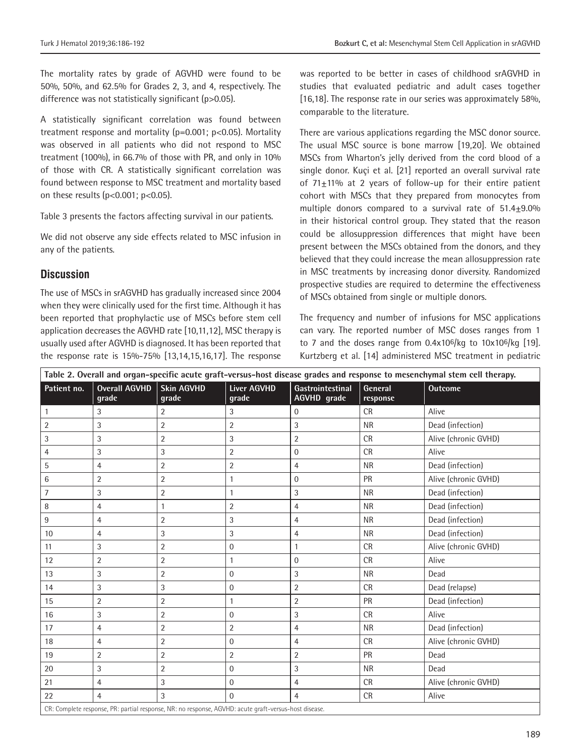The mortality rates by grade of AGVHD were found to be 50%, 50%, and 62.5% for Grades 2, 3, and 4, respectively. The difference was not statistically significant (p>0.05).

A statistically significant correlation was found between treatment response and mortality  $(p=0.001; p<0.05)$ . Mortality was observed in all patients who did not respond to MSC treatment (100%), in 66.7% of those with PR, and only in 10% of those with CR. A statistically significant correlation was found between response to MSC treatment and mortality based on these results  $(p<0.001; p<0.05)$ .

Table 3 presents the factors affecting survival in our patients.

We did not observe any side effects related to MSC infusion in any of the patients.

## **Discussion**

The use of MSCs in srAGVHD has gradually increased since 2004 when they were clinically used for the first time. Although it has been reported that prophylactic use of MSCs before stem cell application decreases the AGVHD rate [10,11,12], MSC therapy is usually used after AGVHD is diagnosed. It has been reported that the response rate is 15%-75% [13,14,15,16,17]. The response

was reported to be better in cases of childhood srAGVHD in studies that evaluated pediatric and adult cases together [16,18]. The response rate in our series was approximately 58%, comparable to the literature.

There are various applications regarding the MSC donor source. The usual MSC source is bone marrow [19,20]. We obtained MSCs from Wharton's jelly derived from the cord blood of a single donor. Kuçi et al. [21] reported an overall survival rate of 71±11% at 2 years of follow-up for their entire patient cohort with MSCs that they prepared from monocytes from multiple donors compared to a survival rate of  $51.4 \pm 9.0\%$ in their historical control group. They stated that the reason could be allosuppression differences that might have been present between the MSCs obtained from the donors, and they believed that they could increase the mean allosuppression rate in MSC treatments by increasing donor diversity. Randomized prospective studies are required to determine the effectiveness of MSCs obtained from single or multiple donors.

The frequency and number of infusions for MSC applications can vary. The reported number of MSC doses ranges from 1 to 7 and the doses range from  $0.4x10^6$ /kg to  $10x10^6$ /kg [19]. Kurtzberg et al. [14] administered MSC treatment in pediatric

| Table 2. Overall and organ-specific acute graft-versus-host disease grades and response to mesenchymal stem cell therapy. |                               |                            |                                                                                                       |                                 |                     |                      |  |  |
|---------------------------------------------------------------------------------------------------------------------------|-------------------------------|----------------------------|-------------------------------------------------------------------------------------------------------|---------------------------------|---------------------|----------------------|--|--|
| Patient no.                                                                                                               | <b>Overall AGVHD</b><br>grade | <b>Skin AGVHD</b><br>grade | <b>Liver AGVHD</b><br>grade                                                                           | Gastrointestinal<br>AGVHD grade | General<br>response | <b>Outcome</b>       |  |  |
| 1                                                                                                                         | 3                             | 2                          | 3                                                                                                     | $\mathbf{0}$                    | <b>CR</b>           | Alive                |  |  |
| $\overline{2}$                                                                                                            | 3                             | $\overline{2}$             | $\overline{2}$                                                                                        | $\sqrt{3}$                      | <b>NR</b>           | Dead (infection)     |  |  |
| 3                                                                                                                         | 3                             | $\overline{2}$             | 3                                                                                                     | $\overline{2}$                  | <b>CR</b>           | Alive (chronic GVHD) |  |  |
| 4                                                                                                                         | 3                             | $\sqrt{3}$                 | $\overline{2}$                                                                                        | $\mathbf{0}$                    | <b>CR</b>           | Alive                |  |  |
| 5                                                                                                                         | $\overline{4}$                | $\overline{2}$             | $\overline{2}$                                                                                        | $\overline{4}$                  | <b>NR</b>           | Dead (infection)     |  |  |
| 6                                                                                                                         | $\overline{2}$                | $\overline{2}$             | $\mathbf{1}$                                                                                          | $\Omega$                        | PR                  | Alive (chronic GVHD) |  |  |
| $\overline{7}$                                                                                                            | 3                             | $\overline{2}$             | $\mathbf{1}$                                                                                          | 3                               | <b>NR</b>           | Dead (infection)     |  |  |
| 8                                                                                                                         | 4                             | $\mathbf{1}$               | $\overline{2}$                                                                                        | 4                               | <b>NR</b>           | Dead (infection)     |  |  |
| 9                                                                                                                         | $\overline{4}$                | $\overline{2}$             | 3                                                                                                     | $\overline{4}$                  | <b>NR</b>           | Dead (infection)     |  |  |
| 10                                                                                                                        | $\overline{4}$                | 3                          | 3                                                                                                     | $\overline{4}$                  | <b>NR</b>           | Dead (infection)     |  |  |
| 11                                                                                                                        | 3                             | $\overline{2}$             | $\Omega$                                                                                              | 1                               | <b>CR</b>           | Alive (chronic GVHD) |  |  |
| 12                                                                                                                        | $\overline{2}$                | $\overline{2}$             | 1                                                                                                     | $\mathbf{0}$                    | <b>CR</b>           | Alive                |  |  |
| 13                                                                                                                        | 3                             | $\overline{2}$             | $\Omega$                                                                                              | 3                               | <b>NR</b>           | Dead                 |  |  |
| 14                                                                                                                        | 3                             | $\sqrt{3}$                 | $\overline{0}$                                                                                        | $\overline{2}$                  | <b>CR</b>           | Dead (relapse)       |  |  |
| 15                                                                                                                        | 2                             | $\overline{2}$             | 1                                                                                                     | $\overline{2}$                  | PR                  | Dead (infection)     |  |  |
| 16                                                                                                                        | 3                             | $\overline{2}$             | $\Omega$                                                                                              | $\sqrt{3}$                      | <b>CR</b>           | Alive                |  |  |
| 17                                                                                                                        | 4                             | $\overline{2}$             | $\overline{2}$                                                                                        | 4                               | <b>NR</b>           | Dead (infection)     |  |  |
| 18                                                                                                                        | $\overline{4}$                | $\overline{2}$             | $\overline{0}$                                                                                        | 4                               | <b>CR</b>           | Alive (chronic GVHD) |  |  |
| 19                                                                                                                        | 2                             | $\overline{2}$             | $\overline{2}$                                                                                        | $\overline{2}$                  | PR                  | Dead                 |  |  |
| 20                                                                                                                        | 3                             | $\overline{2}$             | $\overline{0}$                                                                                        | $\sqrt{3}$                      | <b>NR</b>           | Dead                 |  |  |
| 21                                                                                                                        | $\overline{4}$                | 3                          | $\Omega$                                                                                              | $\overline{4}$                  | <b>CR</b>           | Alive (chronic GVHD) |  |  |
| 22                                                                                                                        | $\overline{4}$                | 3                          | $\Omega$                                                                                              | $\overline{4}$                  | <b>CR</b>           | Alive                |  |  |
|                                                                                                                           |                               |                            | CR: Complete response, PR: partial response, NR: no response, AGVHD: acute graft-versus-host disease. |                                 |                     |                      |  |  |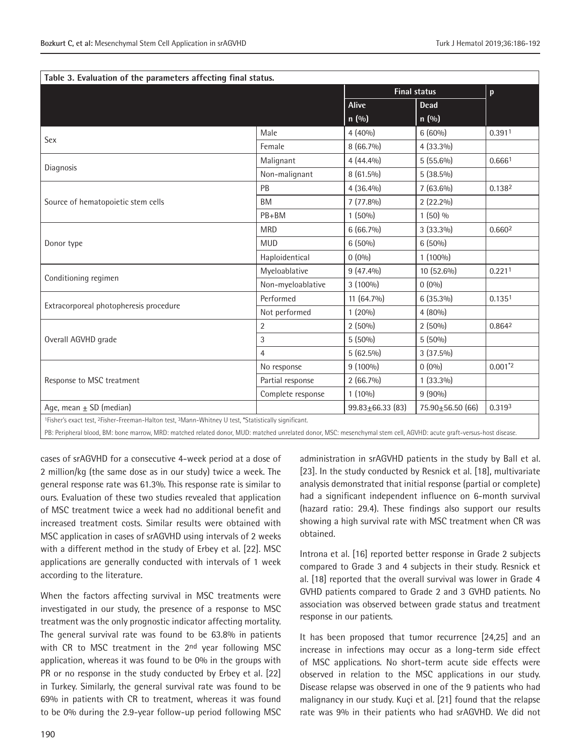| Table 3. Evaluation of the parameters affecting final status.                                                                            | <b>Final status</b> |                        |                        |                    |  |  |
|------------------------------------------------------------------------------------------------------------------------------------------|---------------------|------------------------|------------------------|--------------------|--|--|
|                                                                                                                                          |                     | Alive                  | <b>Dead</b>            | p                  |  |  |
|                                                                                                                                          |                     |                        |                        |                    |  |  |
|                                                                                                                                          |                     | n(0/0)                 | n(0/0)                 |                    |  |  |
| Sex                                                                                                                                      | Male                | $4(40\%)$              | $6(60\%)$              | 0.3911             |  |  |
|                                                                                                                                          | Female              | 8 (66.7%)              | $4(33.3\%)$            |                    |  |  |
| Diagnosis                                                                                                                                | Malignant           | $4(44.4\%)$            | $5(55.6\%)$            | 0.6661             |  |  |
|                                                                                                                                          | Non-malignant       | $8(61.5\%)$            | $5(38.5\%)$            |                    |  |  |
|                                                                                                                                          | PB                  | $4(36.4\%)$            | $7(63.6\%)$            | 0.1382             |  |  |
| Source of hematopoietic stem cells                                                                                                       | <b>BM</b>           | $7(77.8\%)$            | $2(22.2\%)$            |                    |  |  |
|                                                                                                                                          | PB+BM               | $1(50\%)$              | $1(50)\%$              |                    |  |  |
|                                                                                                                                          | <b>MRD</b>          | $6(66.7\%)$            | $3(33.3\%)$            | 0.6602             |  |  |
| Donor type                                                                                                                               | <b>MUD</b>          | $6(50\%)$              | $6(50\%)$              |                    |  |  |
|                                                                                                                                          | Haploidentical      | $0(0\%)$               | $1(100\%)$             |                    |  |  |
|                                                                                                                                          | Myeloablative       | $9(47.4\%)$            | 10 (52.6%)             | 0.2211             |  |  |
| Conditioning regimen                                                                                                                     | Non-myeloablative   | 3 (100%)               | $0(0\%)$               |                    |  |  |
|                                                                                                                                          | Performed           | 11 (64.7%)             | $6(35.3\%)$            | 0.135 <sup>1</sup> |  |  |
| Extracorporeal photopheresis procedure                                                                                                   | Not performed       | $1(20\%)$              | $4(80\%)$              |                    |  |  |
|                                                                                                                                          | $\overline{2}$      | $2(50\%)$              | $2(50\%)$              | 0.8642             |  |  |
| Overall AGVHD grade                                                                                                                      | 3                   | $5(50\%)$              | $5(50\%)$              |                    |  |  |
|                                                                                                                                          | $\overline{4}$      | $5(62.5\%)$            | $3(37.5\%)$            |                    |  |  |
|                                                                                                                                          | No response         | $9(100\%)$             | $0(0\%)$               | $0.001*2$          |  |  |
| Response to MSC treatment                                                                                                                | Partial response    | $2(66.7\%)$            | $1(33.3\%)$            |                    |  |  |
|                                                                                                                                          | Complete response   | $1(10\%)$              | $9(90\%)$              |                    |  |  |
| Age, mean $\pm$ SD (median)                                                                                                              |                     | $99.83 \pm 66.33$ (83) | $75.90 \pm 56.50$ (66) | 0.3193             |  |  |
| <sup>1</sup> Fisher's exact test, <sup>2</sup> Fisher-Freeman-Halton test, <sup>3</sup> Mann-Whitney U test, *Statistically significant. |                     |                        |                        |                    |  |  |

PB: Peripheral blood, BM: bone marrow, MRD: matched related donor, MUD: matched unrelated donor, MSC: mesenchymal stem cell, AGVHD: acute graft-versus-host disease.

cases of srAGVHD for a consecutive 4-week period at a dose of 2 million/kg (the same dose as in our study) twice a week. The general response rate was 61.3%. This response rate is similar to ours. Evaluation of these two studies revealed that application of MSC treatment twice a week had no additional benefit and increased treatment costs. Similar results were obtained with MSC application in cases of srAGVHD using intervals of 2 weeks with a different method in the study of Erbey et al. [22]. MSC applications are generally conducted with intervals of 1 week according to the literature.

When the factors affecting survival in MSC treatments were investigated in our study, the presence of a response to MSC treatment was the only prognostic indicator affecting mortality. The general survival rate was found to be 63.8% in patients with CR to MSC treatment in the 2nd year following MSC application, whereas it was found to be 0% in the groups with PR or no response in the study conducted by Erbey et al. [22] in Turkey. Similarly, the general survival rate was found to be 69% in patients with CR to treatment, whereas it was found to be 0% during the 2.9-year follow-up period following MSC administration in srAGVHD patients in the study by Ball et al. [23]. In the study conducted by Resnick et al. [18], multivariate analysis demonstrated that initial response (partial or complete) had a significant independent influence on 6-month survival (hazard ratio: 29.4). These findings also support our results showing a high survival rate with MSC treatment when CR was obtained.

Introna et al. [16] reported better response in Grade 2 subjects compared to Grade 3 and 4 subjects in their study. Resnick et al. [18] reported that the overall survival was lower in Grade 4 GVHD patients compared to Grade 2 and 3 GVHD patients. No association was observed between grade status and treatment response in our patients.

It has been proposed that tumor recurrence [24,25] and an increase in infections may occur as a long-term side effect of MSC applications. No short-term acute side effects were observed in relation to the MSC applications in our study. Disease relapse was observed in one of the 9 patients who had malignancy in our study. Kuçi et al. [21] found that the relapse rate was 9% in their patients who had srAGVHD. We did not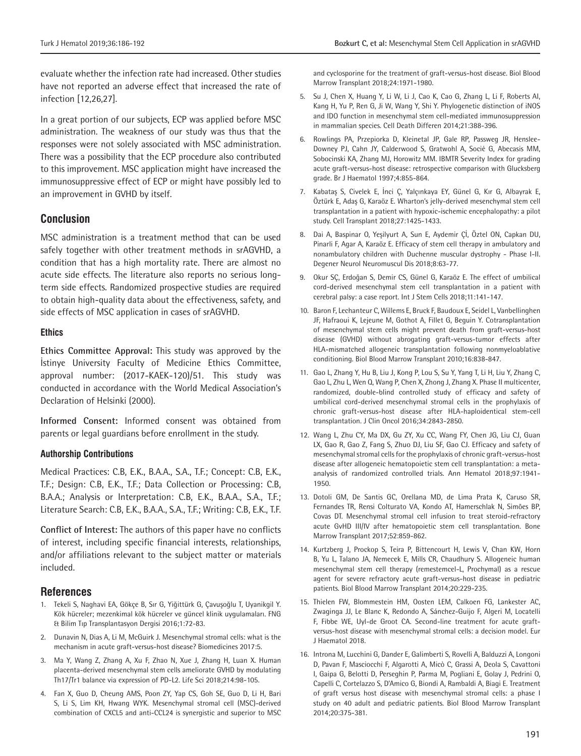evaluate whether the infection rate had increased. Other studies have not reported an adverse effect that increased the rate of infection [12,26,27].

In a great portion of our subjects, ECP was applied before MSC administration. The weakness of our study was thus that the responses were not solely associated with MSC administration. There was a possibility that the ECP procedure also contributed to this improvement. MSC application might have increased the immunosuppressive effect of ECP or might have possibly led to an improvement in GVHD by itself.

#### **Conclusion**

MSC administration is a treatment method that can be used safely together with other treatment methods in srAGVHD, a condition that has a high mortality rate. There are almost no acute side effects. The literature also reports no serious longterm side effects. Randomized prospective studies are required to obtain high-quality data about the effectiveness, safety, and side effects of MSC application in cases of srAGVHD.

#### **Ethics**

**Ethics Committee Approval:** This study was approved by the İstinye University Faculty of Medicine Ethics Committee, approval number: (2017-KAEK-120)/51. This study was conducted in accordance with the World Medical Association's Declaration of Helsinki (2000).

**Informed Consent:** Informed consent was obtained from parents or legal guardians before enrollment in the study.

#### **Authorship Contributions**

Medical Practices: C.B, E.K., B.A.A., S.A., T.F.; Concept: C.B, E.K., T.F.; Design: C.B, E.K., T.F.; Data Collection or Processing: C.B, B.A.A.; Analysis or Interpretation: C.B, E.K., B.A.A., S.A., T.F.; Literature Search: C.B, E.K., B.A.A., S.A., T.F.; Writing: C.B, E.K., T.F.

**Conflict of Interest:** The authors of this paper have no conflicts of interest, including specific financial interests, relationships, and/or affiliations relevant to the subject matter or materials included.

#### **References**

- 1. Tekeli S, Naghavi EA, Gökçe B, Sır G, Yiğittürk G, Çavuşoğlu T, Uyanikgil Y. Kök hücreler; mezenkimal kök hücreler ve güncel klinik uygulamaları. FNG & Bilim Tıp Transplantasyon Dergisi 2016;1:72-83.
- 2. Dunavin N, Dias A, Li M, McGuirk J. Mesenchymal stromal cells: what is the mechanism in acute graft-versus-host disease? Biomedicines 2017:5.
- 3. Ma Y, Wang Z, Zhang A, Xu F, Zhao N, Xue J, Zhang H, Luan X. Human placenta-derived mesenchymal stem cells ameliorate GVHD by modulating Th17/Tr1 balance via expression of PD-L2. Life Sci 2018;214:98-105.
- 4. Fan X, Guo D, Cheung AMS, Poon ZY, Yap CS, Goh SE, Guo D, Li H, Bari S, Li S, Lim KH, Hwang WYK. Mesenchymal stromal cell (MSC)-derived combination of CXCL5 and anti-CCL24 is synergistic and superior to MSC

and cyclosporine for the treatment of graft-versus-host disease. Biol Blood Marrow Transplant 2018;24:1971-1980.

- 5. Su J, Chen X, Huang Y, Li W, Li J, Cao K, Cao G, Zhang L, Li F, Roberts AI, Kang H, Yu P, Ren G, Ji W, Wang Y, Shi Y. Phylogenetic distinction of iNOS and IDO function in mesenchymal stem cell-mediated immunosuppression in mammalian species. Cell Death Differen 2014;21:388-396.
- 6. Rowlings PA, Przepiorka D, Kleinetal JP, Gale RP, Passweg JR, Henslee-Downey PJ, Cahn JY, Calderwood S, Gratwohl A, Socié G, Abecasis MM, Sobocinski KA, Zhang MJ, Horowitz MM. IBMTR Severity Index for grading acute graft-versus-host disease: retrospective comparison with Glucksberg grade. Br J Haematol 1997;4:855-864.
- 7. Kabataş S, Civelek E, İnci Ç, Yalçınkaya EY, Günel G, Kır G, Albayrak E, Öztürk E, Adaş G, Karaöz E. Wharton's jelly-derived mesenchymal stem cell transplantation in a patient with hypoxic-ischemic encephalopathy: a pilot study. Cell Transplant 2018;27:1425-1433.
- 8. Dai A, Baspinar O, Yeşilyurt A, Sun E, Aydemir Çİ, Öztel ON, Capkan DU, Pinarli F, Agar A, Karaöz E. Efficacy of stem cell therapy in ambulatory and nonambulatory children with Duchenne muscular dystrophy - Phase I-II. Degener Neurol Neuromuscul Dis 2018;8:63-77.
- 9. Okur SÇ, Erdoğan S, Demir CS, Günel G, Karaöz E. The effect of umbilical cord-derived mesenchymal stem cell transplantation in a patient with cerebral palsy: a case report. Int J Stem Cells 2018;11:141-147.
- 10. Baron F, Lechanteur C, Willems E, Bruck F, Baudoux E, Seidel L, Vanbellinghen JF, Hafraoui K, Lejeune M, Gothot A, Fillet G, Beguin Y. Cotransplantation of mesenchymal stem cells might prevent death from graft-versus-host disease (GVHD) without abrogating graft-versus-tumor effects after HLA-mismatched allogeneic transplantation following nonmyeloablative conditioning. Biol Blood Marrow Transplant 2010;16:838-847.
- 11. Gao L, Zhang Y, Hu B, Liu J, Kong P, Lou S, Su Y, Yang T, Li H, Liu Y, Zhang C, Gao L, Zhu L, Wen Q, Wang P, Chen X, Zhong J, Zhang X. Phase II multicenter, randomized, double-blind controlled study of efficacy and safety of umbilical cord-derived mesenchymal stromal cells in the prophylaxis of chronic graft-versus-host disease after HLA-haploidentical stem-cell transplantation. J Clin Oncol 2016;34:2843-2850.
- 12. Wang L, Zhu CY, Ma DX, Gu ZY, Xu CC, Wang FY, Chen JG, Liu CJ, Guan LX, Gao R, Gao Z, Fang S, Zhuo DJ, Liu SF, Gao CJ. Efficacy and safety of mesenchymal stromal cells for the prophylaxis of chronic graft-versus-host disease after allogeneic hematopoietic stem cell transplantation: a metaanalysis of randomized controlled trials. Ann Hematol 2018;97:1941- 1950.
- 13. Dotoli GM, De Santis GC, Orellana MD, de Lima Prata K, Caruso SR, Fernandes TR, Rensi Colturato VA, Kondo AT, Hamerschlak N, Simões BP, Covas DT. Mesenchymal stromal cell infusion to treat steroid-refractory acute GvHD III/IV after hematopoietic stem cell transplantation. Bone Marrow Transplant 2017;52:859-862.
- 14. Kurtzberg J, Prockop S, Teira P, Bittencourt H, Lewis V, Chan KW, Horn B, Yu L, Talano JA, Nemecek E, Mills CR, Chaudhury S. Allogeneic human mesenchymal stem cell therapy (remestemcel-L, Prochymal) as a rescue agent for severe refractory acute graft-versus-host disease in pediatric patients. Biol Blood Marrow Transplant 2014;20:229-235.
- 15. Thielen FW, Blommestein HM, Oosten LEM, Calkoen FG, Lankester AC, Zwaginga JJ, Le Blanc K, Redondo A, Sánchez-Guijo F, Algeri M, Locatelli F, Fibbe WE, Uyl-de Groot CA. Second-line treatment for acute graftversus-host disease with mesenchymal stromal cells: a decision model. Eur J Haematol 2018.
- 16. Introna M, Lucchini G, Dander E, Galimberti S, Rovelli A, Balduzzi A, Longoni D, Pavan F, Masciocchi F, Algarotti A, Micò C, Grassi A, Deola S, Cavattoni I, Gaipa G, Belotti D, Perseghin P, Parma M, Pogliani E, Golay J, Pedrini O, Capelli C, Cortelazzo S, D'Amico G, Biondi A, Rambaldi A, Biagi E. Treatment of graft versus host disease with mesenchymal stromal cells: a phase I study on 40 adult and pediatric patients. Biol Blood Marrow Transplant 2014;20:375-381.